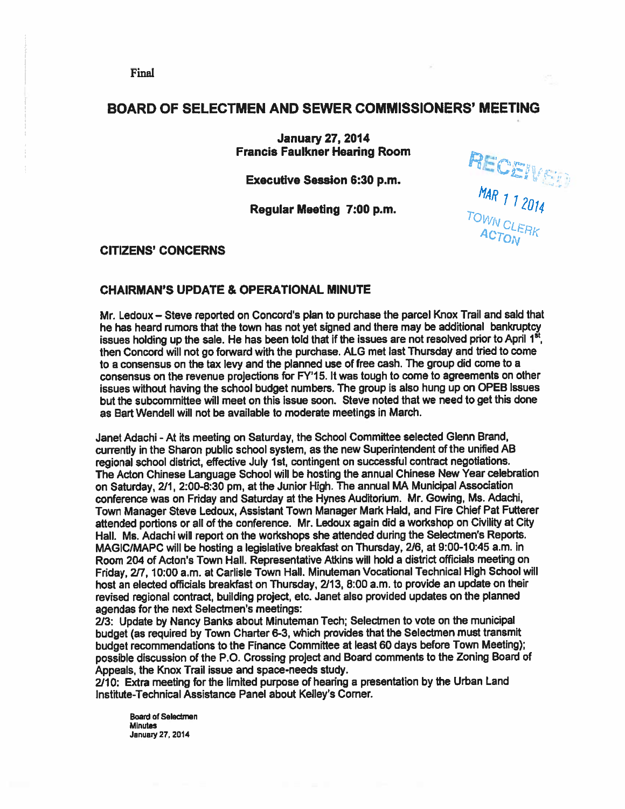# BOARD OF SELECTMEN AND SEWER COMMISSIONERS' MEETING

January 27, 2014 Francis Faulkner Hearing Room

 $\blacksquare$ Executive Session 6:30 p.m. error error  $\blacksquare$ 

Regular Meeting 7:00 p.m.

MAR 1 1

CITIZENS' CONCERNS

## CHAIRMAN'S UPDATE & OPERATIONAL MINUTE

Mr. Ledoux – Steve reported on Concord's plan to purchase the parcel Knox Trail and sald that he has heard rumors that the town has not ye<sup>t</sup> signed and there may be additional bankruptcy issues holding up the sale. He has been told that if the issues are not resolved prior to April 1st. then Concord will not go forward with the purchase. ALG met last Thursday and tried to come to <sup>a</sup> consensus on the tax levy and the <sup>p</sup>lanned use of free cash. The group did come to <sup>a</sup> consensus on the revenue projections for FY15. It was tough to come to agreements on other issues without having the school budget numbers. The group is also hung up on OPEB issues but the subcommittee will meet on this issue soon. Steve noted that we need to ge<sup>t</sup> this done as Bart Wendell will not be available to moderate meetings in March.

Janet Adachi - At its meeting on Saturday, the School Committee selected Glenn Brand, currently in the Sharon public school system, as the new Superintendent of the unified AB regional school district, effective July 1st, contingent on successful contract negotiations. The Acton Chinese Language School wili be hosting the annual Chinese New Year celebration on Saturday, 211, 2:00-8:30 pm, at the Junior High. The annual MA Municipal Association conference was on Friday and Saturday at the Hynes Auditorium. Mr. Gowing, Ms. Adachi, Town Manager Steve Ledoux, Assistant Town Manager Mark Hald, and Fire Chief Pat Futterer attended portions or all of the conference. Mr. Ledoux again did <sup>a</sup> workshop on Civility at City Hall. Ms. Adachi will repor<sup>t</sup> on the workshops she attended during the Selectmen's Reports. MAGIC/MAPC will be hosting a legislative breakfast on Thursday, 2/6, at 9:00-10:45 a.m. in Room 204 of Acton's Town Hall. Representative Atkins will hold <sup>a</sup> district officials meeting on Friday, 2/7, 10:00 a.m. at Carlisle Town Hall. Minuteman Vocational Technical High School will host an elected officials breakfast on Thursday, 2/13, 8:00 a.m. to provide an update on their revised regional contract, building project, etc. Janet also provided updates on the <sup>p</sup>lanned agendas for the next Selectmen's meetings:

213: Update by Nancy Banks about Minuteman Tech; Selectmen to vote on the municipal budget (as required by Town Charter 6-3, which provides that the Selectmen must transmit budget recommendations to the Finance Committee at least <sup>60</sup> days before Town Meeting); possible discussion of the P.O. Crossing project and Board comments to the Zoning Board of Appeals, the Knox Trail issue and space-needs study.

2/10: Extra meeting for the limited purpose of hearing <sup>a</sup> presentation by the Urban Land Institute-Technical Assistance Panel about Kelley's Corner.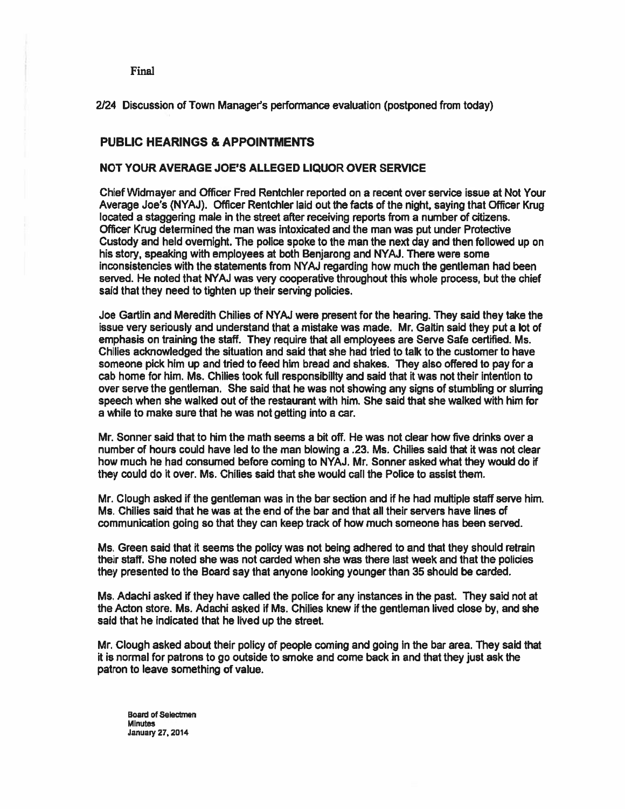2124 Discussion of Town Manager's performance evaluation (postponed from today)

## PUBLIC HEARINGS & APPOINTMENTS

### NOT YOUR AVERAGE JOE'S ALLEGED LIQUOR OVER SERVICE

Chief Widmayer and Officer Fred Rentchler reported on <sup>a</sup> recent over service issue at Not Your Average Joe's (NYAJ). Officer Rentchler laid out the facts of the night, saying that Officer Kwg located <sup>a</sup> staggering male in the street after receiving reports from <sup>a</sup> number of citizens. Officer Kwg determined the man was intoxicated and the man was pu<sup>t</sup> under Protective Custody and held overnight. The police spoke to the man the next day and then followed up on his story, speaking with employees at both Benjarong and NYAJ. There were some inconsistencies with the statements from NYAJ regarding how much the gentleman had been served. He noted that NYAJ was very cooperative throughout this whole process, but the chief said that they need to tighten up their serving policies.

Joe Gartlin and Meredith Chilies of NYM were presen<sup>t</sup> for the hearing. They said they take the issue very seriously and understand that <sup>a</sup> mistake was made. Mr. Galtin said they pu<sup>t</sup> <sup>a</sup> lot of emphasis on training the staff. They require that all employees are Serve Safe certified. Ms. Chilies acknowledged the situation and said that she had tried to talk to the customer to have someone pick him up and tried to feed him bread and shakes. They also offered to pay for <sup>a</sup> cab home for him. Ms. Chilies took full responsibility and said that it was not their intention to over serve the gentleman. She said that he was not showing any signs of stumbling or slurring speech when she walked out of the restaurant with him. She said that she walked with him for <sup>a</sup> while to make sure that he was not getting into <sup>a</sup> car.

Mr. Sonner said that to him the math seems <sup>a</sup> bit off. He was not clear how five drinks over <sup>a</sup> number of hours could have led to the man blowing <sup>a</sup> .23. Ms. Chilies said that it was not clear how much he had consumed before coming to NYAJ. Mr. Sonner asked what they would do if they could do it over. Ms. Chilies said that she would call the Police to assist them.

Mr. Clough asked if the gentleman was in the bar section and if he had multiple staff serve him. Ms. Chilies said that he was at the end of the bar and that all their sewers have lines of communication going so that they can keep track of how much someone has been served.

Ms. Green said that it seems the policy was not being adhered to and that they should retrain their staff. She noted she was not carded when she was there last week and that the policies they presented to the Board say that anyone looking younger than 35 should be carded.

Ms. Adachi asked if they have called the police for any instances in the past. They said not at the Acton store. Ms. Adachi asked if Ms. Chilies knew if the gentleman lived close by, and she said that he indicated that he lived up the street.

Mr. Clough asked about their policy of people coming and going in the bar area. They said that it is normal for patrons to go outside to smoke and come back in and that they just ask the patron to leave something of value.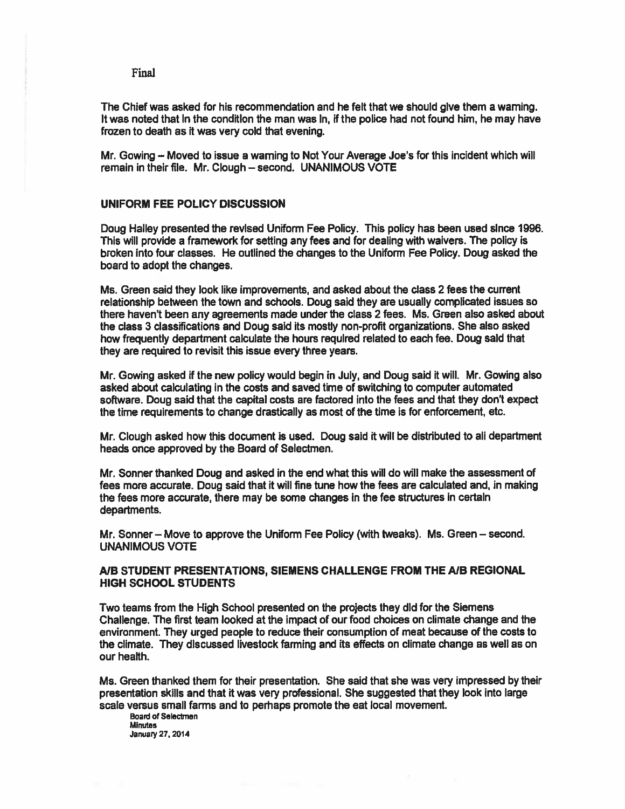The Chief was asked for his recommendation and he felt that we should give them <sup>a</sup> warning. It was noted that in the condition the man was in, if the police had not found him, he may have frozen to death as it was very cold that evening.

Mr. Gowing — Moved to issue <sup>a</sup> warning to Not Your Average Joe's for this incident which will remain in their file. Mr. Clough – second. UNANIMOUS VOTE

### UNIFORM FEE POLICY DISCUSSION

Doug Halley presented the revised Uniform Fee Policy. This policy has been used since 1996. This will provide a framework for setting any fees and for dealing with waivers. The policy is broken into four classes. He outlined the changes to the Uniform Fee Policy. Doug asked the board to adopt the changes.

Ms. Green said they look like improvements, and asked about the class 2 fees the current relationship between the town and schools. Doug said they are usually complicated issues so there haven't been any agreements made under the class 2 fees. Ms. Green also asked about the class 3 classifications and Doug said its mostly non-profit organizations. She also asked how frequently department calculate the hours required related to each fee. Doug said that they are required to revisit this issue every three years.

Mr. Cowing asked if the new policy would begin in July, and Doug said it will. Mr. Gowing also asked about calculating in the costs and saved time of switching to computer automated software. Doug said that the capital costs are factored into the fees and that they don't expec<sup>t</sup> the time requirements to change drastically as most of the time is for enforcement, etc.

Mr. Clough asked how this document is used. Doug said it will be distributed to all department heads once approved by the Board of Selectmen.

Mr. Sonner thanked Doug and asked in the end what this will do will make the assessment of fees more accurate. Doug said that it will fine tune how the fees are calculated and, in making the fees more accurate, there may be some changes in the fee structures in certain departments.

Mr. Sonner— Move to approve the Uniform Fee Policy (with tweaks). Ms. Green — second. UNANIMOUS VOTE

### A/B STUDENT PRESENTATIONS, SIEMENS CHALLENGE FROM THE A/B REGIONAL HIGH SCHOOL STUDENTS

Two teams from the High School presented on the projects they did for the Siemens Challenge. The first team looked at the impact of our food choices on climate change and the environment, They urged people to reduce their consumption of meat because of the costs to the climate. They discussed livestock farming and its effects on climate change as well as on our health.

Ms. Green thanked them for their presentation. She said that she was very impressed by their presentation skills and that it was very professional. She suggested that they look into large scale versus small farms and to perhaps promote the eat local movement.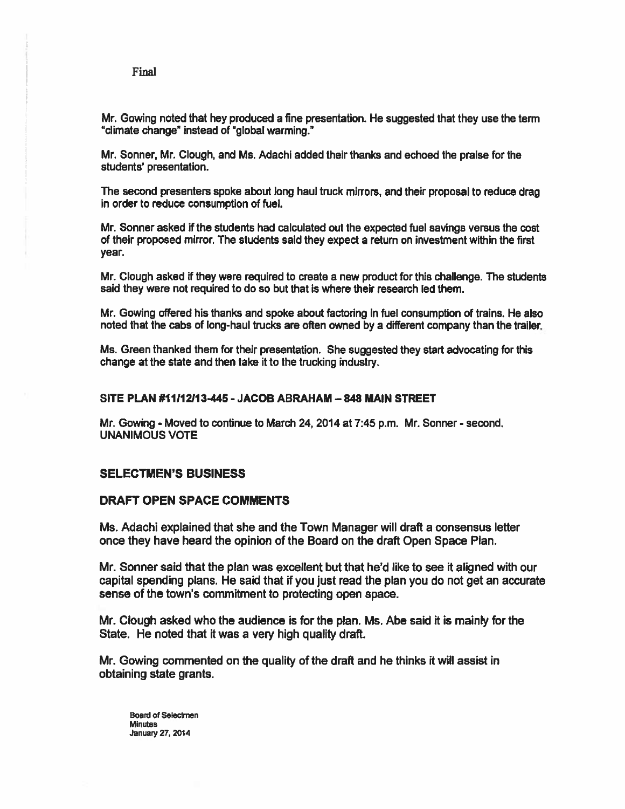Mr. Gowing noted that hey produced <sup>a</sup> fine presentation. He suggested that they use the term 'climate change" instead of 'gIobaI warming."

Mr. Sonner, Mr. Clough, and Ms. Adachi added their thanks and echoed the praise for the students' presentation.

The second presenters spoke about long haul truck mirrors, and their proposal to reduce drag in order to reduce consumption of fuel.

Mr. Sonner asked if the students had calculated out the expected fuel savings versus the cost of their proposed mirror. The students said they expec<sup>t</sup> <sup>a</sup> return on investment within the first year.

Mr. Clough asked if they were required to create a new product for this challenge. The students said they were not required to do so but that is where their research led them.

Mr. Gowing offered his thanks and spoke about factoring in fuel consumption of trains. He also noted that the cabs of long-haul trucks are often owned by <sup>a</sup> different company than the trailer.

Ms. Green thanked them for their presentation. She suggested they start advocating for this change at the state and then take it to the trucking industry.

### SITE PLAN #11112113445 -JACOB ABRAHAM —848 MAIN STREET

Mr. Gowing - Moved to continue to March 24, 2014 at 7:45 p.m. Mr. Sonner -second. UNANIMOUS VOTE

## SELECTMEN'S BUSINESS

### DRAFT OPEN SPACE COMMENTS

Ms. Adachi explained that she and the Town Manager will draft <sup>a</sup> consensus letter once they have heard the opinion of the Board on the draft Open Space Plan.

Mr. Sonner said that the plan was excellent but that he'd like to see it aligned with our capital spending plans. He said that if you just read the plan you do not ge<sup>t</sup> an accurate sense of the town's commitment to protecting open space.

Mr. Clough asked who the audience is for the plan. Ms. Abe said it is mainly for the State. He noted that it was <sup>a</sup> very high quality draft.

Mr. Gowing commented on the quality of the draft and he thinks it will assist in obtaining state grants.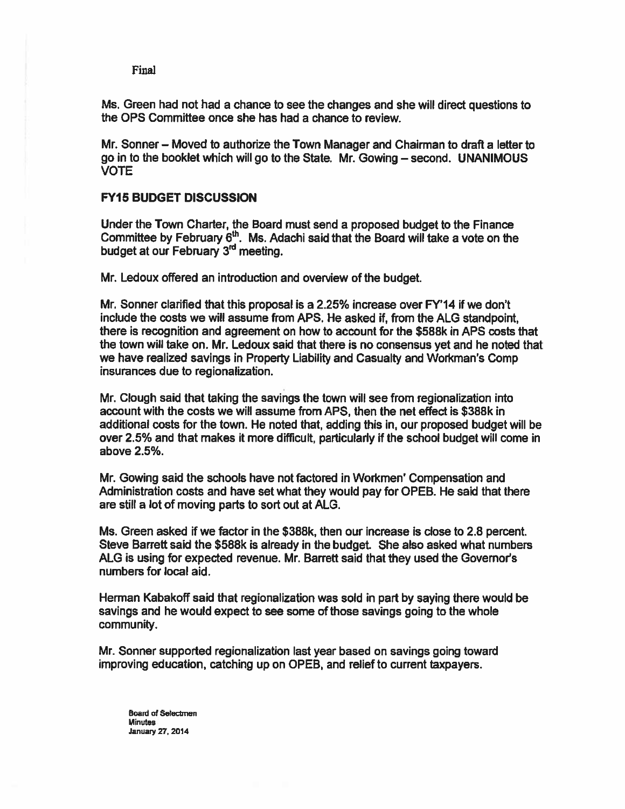Ms. Green had not had <sup>a</sup> chance to see the changes and she will direct questions to the OPS Committee once she has had <sup>a</sup> chance to review.

Mr. Sonner — Moved to authorize the Town Manager and Chairman to draft <sup>a</sup> letter to go in to the booklet which will go to the State. Mr. Gowing — second. UNANIMOUS VOTE

## FY15 BUDGET DISCUSSION

Under the Town Charter, the Board must send <sup>a</sup> proposed budget to the Finance Committee by February  $6<sup>th</sup>$ . Ms. Adachi said that the Board will take a vote on the budget at our February 3<sup>rd</sup> meeting.

Mr. Ledoux offered an introduction and overview of the budget.

Mr. Sonner clarified that this proposal is <sup>a</sup> 2.25% increase over FY'14 if we don't include the costs we will assume from APS. He asked if, from the ALG standpoint, there is recognition and agreemen<sup>t</sup> on how to account for the \$588k in APS costs that the town will take on. Mr. Ledoux said that there is no consensus ye<sup>t</sup> and he noted that we have realized savings in Property Liability and Casualty and Workman's Comp insurances due to regionalization.

Mr. Clough said that taking the savings the town will see from regionalization into account with the costs we will assume from APS, then the net effect is \$388k in additional costs for the town. He noted that, adding this in, our proposed budget will be over 2.5% and that makes it more difficult, particularly if the school budget will come in above 2.5%.

Mr. Gowing said the schools have not factored in Workmen' Compensation and Administration costs and have set what they would pay for OPEB. He said that there are still a lot of moving parts to sort out at ALG.

Ms. Green asked if we factor in the \$388k, then our increase is close to 2.8 percent. Steve Barrett said the \$588k is already in the budget. She also asked what numbers ALG is using for expected revenue. Mr. Barrett said that they used the Governors numbers for local aid.

Herman Kabakoff said that regionalization was sold in par<sup>t</sup> by saying there would be savings and he would expec<sup>t</sup> to see some of those savings going to the whole community.

Mr. Sonner supported regionalization last year based on savings going toward improving education, catching up on OPEB, and relief to current taxpayers.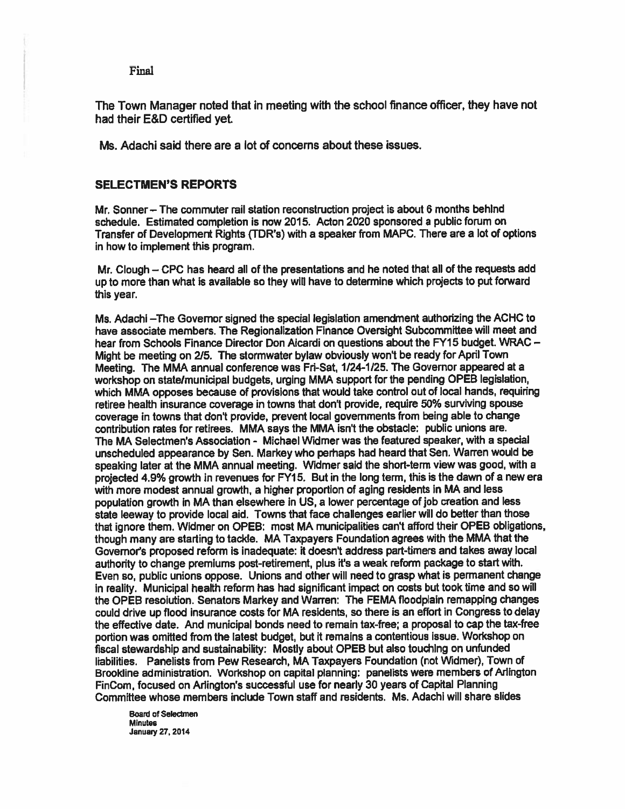The Town Manager noted that in meeting with the school finance officer, they have not had their E&D certified yet.

Ms. Adachi said there are <sup>a</sup> lot of concerns about these issues.

### SELECTMEN'S REPORTS

Mr. Sonner — The commuter rail station reconstruction project is about 6 months behind schedule. Estimated completion is now 2015. Acton 2020 sponsored <sup>a</sup> public forum on Transfer of Development Rights (TDR's) with <sup>a</sup> speaker from MAPC. There are <sup>a</sup> lot of options in how to implement this program.

Mr. Clough – CPC has heard all of the presentations and he noted that all of the requests add up to more than what is available so they will have to determine which projects to pu<sup>t</sup> forward this year.

Ms. Adachi —The Governor signed the special legislation amendment authorizing the ACHC to have associate members. The Regionalization Finance Oversight Subcommittee will meet and hear from Schools Finance Director Don Aicardi on questions about the FY15 budget. WRAC — Might be meeting on 2/5. The stormwater bylaw obviously won't be ready for April Town Meeting. The MMA annual conference was Fri-Sat, 1/24-1/25. The Governor appeare<sup>d</sup> at <sup>a</sup> workshop on state/municipal budgets, urging MMA suppor<sup>t</sup> for the pending OPEB legislation, which MMA opposes because of provisions that would take control out of local hands, requiring retiree health insurance coverage in towns that don't provide, require 50% surviving spouse coverage in towns that don't provide, preven<sup>t</sup> local governments from being able to change contribution rates for retirees. MMA says the MMA isn't the obstacle; public unions are. The MA Selectmen's Association - Michael Widmer was the featured speaker, with <sup>a</sup> special unscheduled appearance by Sen. Markey who perhaps had heard that Sen. Warren would be speaking later at the MMA annual meeting. Widmer said the short-term view was good, with a projected 4.9% growth in revenues for FY15. But in the long term, this is the dawn of <sup>a</sup> new era with more modest annual growth, <sup>a</sup> higher proportion of aging residents in MA and less population growth in MA than elsewhere in US, <sup>a</sup> lower percentage of job creation and less state leeway to provide local aid. Towns that face challenges earlier will do better than those that ignore them. Widmer on OPEB: most MA municipalities can't afford their OPEB obligations, though many are starting to tackle. MA Taxpayers Foundation agrees with the MMA that the Governors proposed reform is inadequate: it doesn't address part-timers and takes away local authority to change premiums post-retirement, <sup>p</sup>lus ft's <sup>a</sup> weak reform package to start with. Even so, public unions oppose. Unions and other will need to grasp what is permanen<sup>t</sup> change in reality. Municipal heafth reform has had significant impact on costs but took time and so will the OPEB resolution. Senators Markey and Warren: The FEMA floodplain remapping changes could drive up flood insurance costs for MA residents, so there is an effort in Congress to delay the effective date. And municipal bonds need to remain tax-free; <sup>a</sup> proposal to cap the tax-free portion was omitted from the latest budget, but it remains <sup>a</sup> contentious issue. Workshop on fiscal stewardship and sustainability: Mostly about OPEB but also touching on unfunded liabilities. Panelists from Pew Research, MA Taxpayers Foundation (not Widmer), Town of Brookline administration. Workshop on capital <sup>p</sup>lanning: panelists were members of Mington FinCom, focused on Arlington's successful use for nearly 30 years of Capital Planning Committee whose members include Town staff and residents. Ms. Adachi will share slides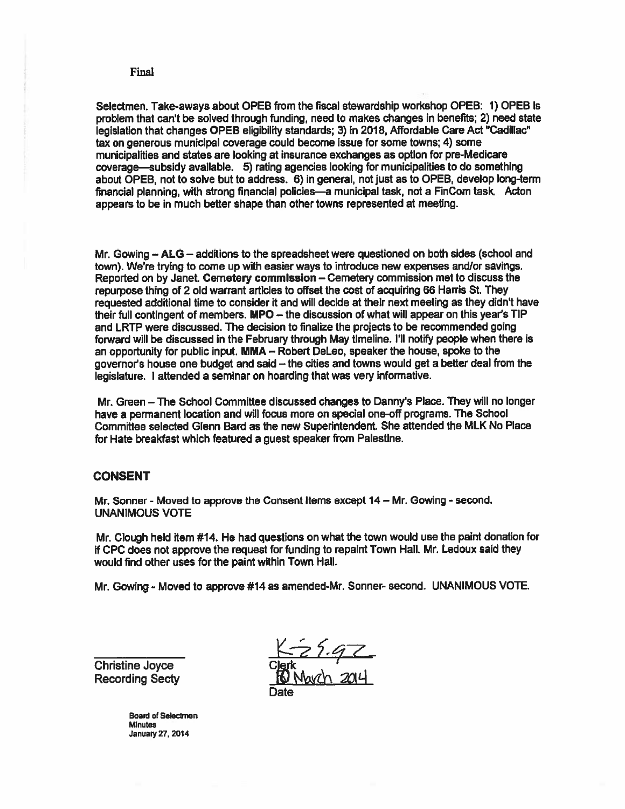Selectmen. Take-aways about OPEB from the fiscal stewardship workshop OPEB: 1) OPEB Is problem that can't be solved through funding, need to makes changes in benefits; 2) need state legislation that changes OPEB eligibility standards; 3) in 2018, Affordable Care Act "Cadillac" tax on generous municipal coverage could become issue for some towns; 4) some municipalities and states are looking at insurance exchanges as option for pre-Medicare coverage—subsidy available. 5) rating agencies looking for municipalities to do something about OPEB, not to solve but to address. 6) in general, not just as to OPEB, develop long-term financial <sup>p</sup>lanning, with strong financial policies—a municipal task, not <sup>a</sup> FinCom task. Acton appears to be in much better shape than other towns represented at meeting.

Mr. Cowing — ALG — additions to the spreadsheet were questioned on both sides (school and town), We're trying to come up with easier ways to introduce new expenses and/or savings. Reported on by Janet Cemetery commission — Cemetery commission met to discuss the repurpose thing of 2 old warrant articles to offset the cost of acquiring <sup>66</sup> Harris St. They requested additional time to consider ft and will decide at their next meeting as they didn't have their full contingent of members. MPO - the discussion of what will appear on this year's TIP and LRTP were discussed. The decision to finalize the projects to be recommended going forward will be discussed in the February through May timeline. I'll notify people when there is an opportunity for public input. MMA — Robert DeLeo, speaker the house, spoke to the governor's house one budget and said — the cities and towns would ge<sup>t</sup> <sup>a</sup> better deal from the legislature. <sup>I</sup> attended <sup>a</sup> seminar on hoarding that was very informative.

Mr. Green — The School Committee discussed changes to Danny's Place. They will no longer have <sup>a</sup> permanen<sup>t</sup> location and will focus more on special one-off programs. The School Committee selected Glenn Bard as the new Superintendent. She attended the MLK No Place for Hate breakfast which featured <sup>a</sup> gues<sup>t</sup> speaker from Palestine.

## **CONSENT**

Mr. Sonner - Moved to approve the Consent Items except 14 - Mr. Gowing - second. UNANIMOUS VOTE

Mr. Clough held item #14. He had questions on what the town would use the paint donation for if CPC does not approve the reques<sup>t</sup> for funding to repaint Town Hall. Mr. Ledoux said they would find other uses for the paint within Town Hall.

Mr Cowing - Moved to approve #14 as amended-Mr. Sonner- second. UNANIMOUS VOTE.

Christine Joyce **Recording Secty** 

Date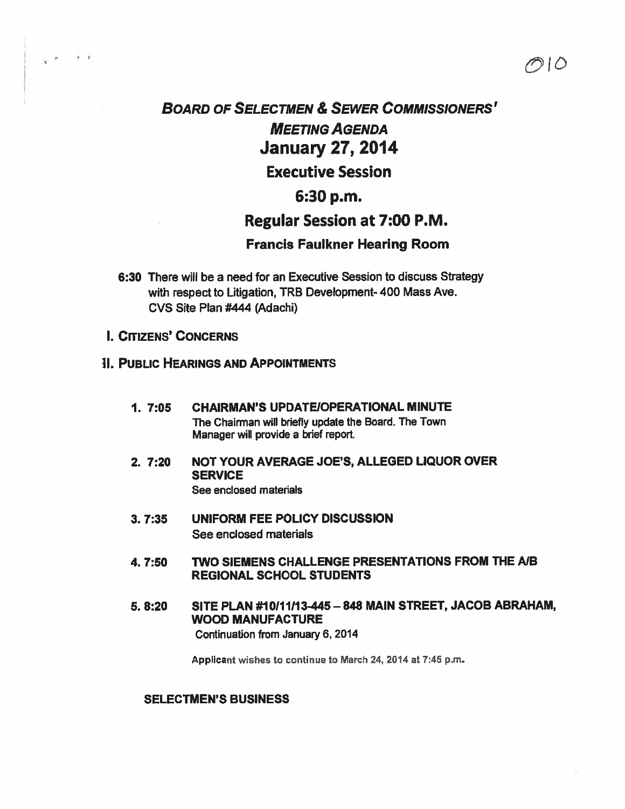# BOARD OF SELECTMEN & SEWER COMMISSIONERS' MEETING AGENDA January 27, 2014 Executive Session

# 6:30 p.m.

# Regular Session at 7:00 P.M.

つlの

# Francis Faulkner Hearing Room

- 6:30 There will be <sup>a</sup> need for an Executive Session to discuss Strategy with respect to Litigation, TRB Development- 400 Mass Ave. CVS Site Plan #444 (Adachi)
- **I. CITIZENS' CONCERNS**

# II. PUBLIC HEARINGS AND APPOINTMENTS

- 1. 7:05 CHAIRMAN'S UPDATEIOPERATIONAL MINUTE The Chairman will briefly update the Board. The Town Manager will provide <sup>a</sup> brief report.
- 2. 7:20 NOT YOUR AVERAGE JOE'S, ALLEGED LIQUOR OVER **SERVICE** See enclosed materials
- 3. 7:35 UNIFORM FEE POLICY DISCUSSION See enclosed materials
- 4. 7:50 TWO SIEMENS CHALLENGE PRESENTATIONS FROM THE MB REGIONAL SCHOOL STUDENTS
- 5. 8:20 SITE PLAN #10111113445 —848 MAIN STREET, JACOB ABRAHAM, WOOD MANUFACTURE Continuation from January 6, 2014

Appilcant wishes to continue to March 24, <sup>2014</sup> at 7:45 p.m.

# SELECTMEN'S BUSINESS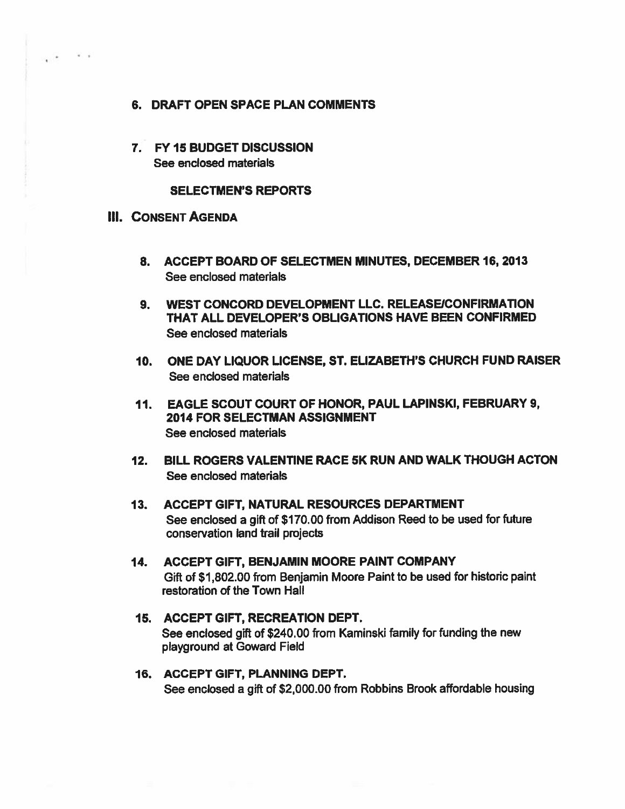- 6. DRAFT OPEN SPACE PLAN COMMENTS
- 7. FY15 BUDGET DISCUSSION See enclosed materials

### SELECTMEN'S REPORTS

## **III. CONSENT AGENDA**

 $\ddot{\phantom{1}}$ 

 $\mathcal{L} = \mathcal{L}$ 

- 8. ACCEPT BOARD OF SELECTMEN MINUTES, DECEMBER 16, 2013 See enclosed materials
- 9. WEST CONCORD DEVELOPMENT LLC. RELEASE/CONFIRMATION THAT ALL DEVELOPER'S OBLIGATIONS HAVE BEEN CONFIRMED See enclosed materials
- 10. ONE DAY LIQUOR LICENSE, ST. ELIZABETH'S CHURCH FUND RAISER See enclosed materials
- 11. EAGLE SCOUT COURT OF HONOR, PAUL LAPINSKI, FEBRUARY 9, 2014 FOR SELECTMAN ASSIGNMENT See enclosed materials
- 12. BILL ROGERS VALENTINE RACE 5K RUN AND WALK THOUGH ACTON See enclosed materials
- 13. ACCEPT GIFT, NATURAL RESOURCES DEPARTMENT See enclosed <sup>a</sup> <sup>g</sup>ift of \$170.00 from Addison Reed to be used for future conservation land trail projects
- 14. ACCEPT GIFT, BENJAMIN MOORE PAINT COMPANY Gift of \$1,802.00 from Benjamin Moore Paint to be used for historic paint restoration of the Town Hall
- 15. ACCEPT GIFT, RECREATION DEPT. See enclosed <sup>g</sup>ift of \$240.00 from Kaminski family for funding the new playground at Goward Field
- 16. ACCEPT GIFT, PLANNING DEPT. See enclosed <sup>a</sup> gift of \$2,000.00 from Robbins Brook affordable housing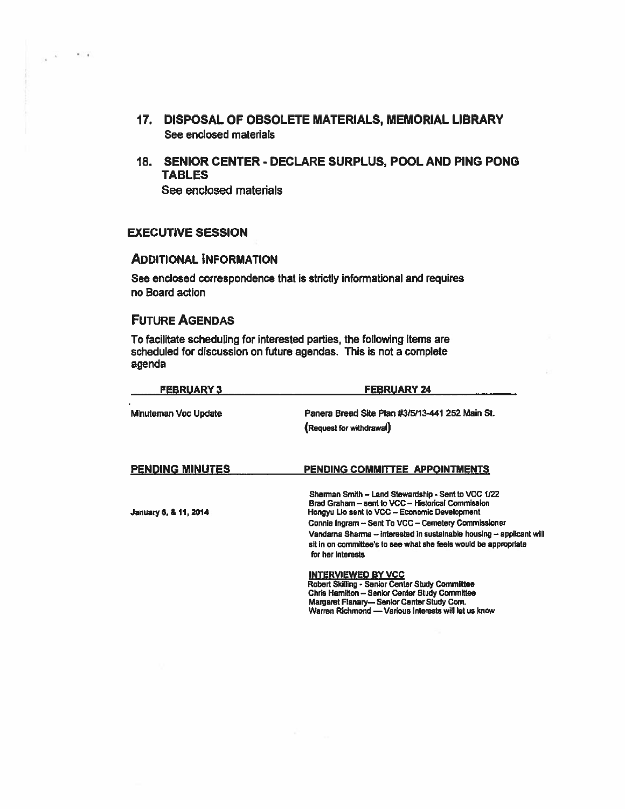- 17. DISPOSAL OF OBSOLETE MATERIALS, MEMORIAL LIBRARY See enclosed materials
- 18. SENIOR CENTER DECLARE SURPLUS, POOL AND PING PONG TABLES

See enclosed materials

# EXECUTIVE SESSION

 $\mathcal{L}$ 

 $\mathcal{N}=\mathcal{N}$ 

# ADDITIONAL INFORMATION

See enclosed correspondence that is strictly informational and requires no Board action

# FUTURE AGENDAS

To facilitate scheduling for interested parties, the following items are scheduled for discussion on future agendas. This is not <sup>a</sup> complete agenda

| <b>FEBRUARY 3</b>           | <b>FEBRUARY 24</b>                                                                                                                                              |  |  |  |
|-----------------------------|-----------------------------------------------------------------------------------------------------------------------------------------------------------------|--|--|--|
| <b>Minuteman Voc Update</b> | Panera Bread Site Plan #3/5/13-441 252 Main St.                                                                                                                 |  |  |  |
|                             | (Request for withdrawal)                                                                                                                                        |  |  |  |
| <b>PENDING MINUTES</b>      | PENDING COMMITTEE APPOINTMENTS                                                                                                                                  |  |  |  |
| January 6, & 11, 2014       | Sherman Smith - Land Stewardship - Sent to VCC 1/22<br>Brad Graham - sent to VCC - Historical Commission<br>Hongyu Lio sent to VCC - Economic Development       |  |  |  |
|                             | Connie Ingram - Sent To VCC - Cernetery Commissioner                                                                                                            |  |  |  |
|                             | Vandarna Sharma -- interested in sustainable housing -- applicant will<br>sit in on committee's to see what she feels would be appropriate<br>for her interests |  |  |  |
|                             | <b>INTERVIEWED BY VCC</b>                                                                                                                                       |  |  |  |
|                             | Robert Skilling - Senior Center Study Committee<br>Chris Hamilton - Senior Center Study Committee                                                               |  |  |  |
|                             | Margaret Flanary- Senior Center Study Com.                                                                                                                      |  |  |  |
|                             | Warren Richmond - Various Interests will let us know                                                                                                            |  |  |  |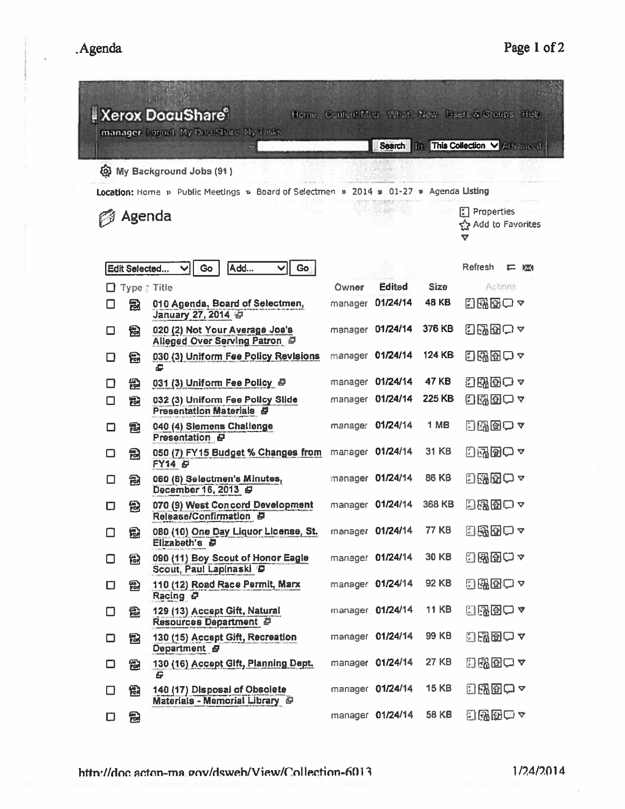| <b>Xerox DocuShare</b><br>Home: Content Map, What's New Users & Groups, Help<br>manager Logout My Decushare My Tasks<br>Search Im This Collection V Artwaread. |                          |                                                                         |         |                  |              |                                                 |  |  |
|----------------------------------------------------------------------------------------------------------------------------------------------------------------|--------------------------|-------------------------------------------------------------------------|---------|------------------|--------------|-------------------------------------------------|--|--|
|                                                                                                                                                                |                          |                                                                         |         |                  |              |                                                 |  |  |
| <b>@ My Background Jobs (91)</b>                                                                                                                               |                          |                                                                         |         |                  |              |                                                 |  |  |
| Location: Home » Public Meetings » Board of Selectmen » 2014 » 01-27 » Agenda Listing                                                                          |                          |                                                                         |         |                  |              |                                                 |  |  |
| <b>P</b> Agenda                                                                                                                                                |                          |                                                                         |         |                  |              | <b>E</b> Properties<br>ናት Add to Favorites<br>v |  |  |
|                                                                                                                                                                | Edit Selected            | Go<br>Go<br>Add                                                         |         |                  |              | Refresh<br>震<br>$\mathbb{R}$                    |  |  |
|                                                                                                                                                                | $\Box$ Type $\cap$ Title |                                                                         | Owner   | <b>Edited</b>    | <b>Size</b>  | Actions                                         |  |  |
| Ħ                                                                                                                                                              | 园                        | 010 Agenda, Board of Selectmen,<br>January 27, 2014                     | manager | 01/24/14         | <b>48 KB</b> | 出野田○~                                           |  |  |
| □                                                                                                                                                              | 急                        | 020 (2) Not Your Average Joe's<br>Alleged Over Serving Patron           |         | manager 01/24/14 | 376 KB       | 日曜田○~                                           |  |  |
| □                                                                                                                                                              | 偈                        | 030 (3) Uniform Fee Policy Revisions<br>e                               |         | manager 01/24/14 | 124 KB       | 日曜田一~                                           |  |  |
| □                                                                                                                                                              | 囹                        | 031 (3) Uniform Fee Policy D                                            |         | manager 01/24/14 | <b>47 KB</b> | 出風面ロャ                                           |  |  |
| □                                                                                                                                                              | 冠                        | 032 (3) Uniform Fee Policy Slide<br><b>Presentation Materials &amp;</b> |         | manager 01/24/14 | 225 KB       | 出界団中ャ                                           |  |  |
| □                                                                                                                                                              | 冠                        | 040 (4) Slemens Challenge<br>Presentation 日                             |         | manager 01/24/14 | 1 MB         | 日風図ロャ                                           |  |  |
| ◻                                                                                                                                                              | 嵒                        | 050 (7) FY15 Budget % Changes from<br>FY14 &                            |         | manager 01/24/14 | 31 KB        | 日露図ロマ                                           |  |  |
| □                                                                                                                                                              | 匐                        | 060 (8) Selectmen's Minutes,<br>December 16, 2013                       |         | manager 01/24/14 | <b>86 KB</b> | 日曜田ロャ                                           |  |  |
| О                                                                                                                                                              | 嵒                        | 070 (9) West Concord Development<br>Release/Confirmation &              |         | manager 01/24/14 | 368 KB       | 内部的ロャ                                           |  |  |
| о                                                                                                                                                              | 6                        | 080 (10) One Day Liquor License, St.<br>Elizabeth's <i>日</i>            |         | manager 01/24/14 | <b>77 KB</b> | 国路图□>                                           |  |  |
| □                                                                                                                                                              | 急                        | 090 (11) Boy Scout of Honor Eagle<br>Scout, Paul Lapinaski D            |         | manager 01/24/14 | <b>30 KB</b> | 出界图□▽                                           |  |  |
| О                                                                                                                                                              | 冠                        | 110 (12) Road Race Permit, Marx<br>Racing &                             |         | manager 01/24/14 | 92 KB        | 阻風図□▽                                           |  |  |
| □                                                                                                                                                              | 包                        | 129 (13) Accept Gift, Natural<br>Resources Department P                 |         | manager 01/24/14 | <b>11 KB</b> | 日路函○ ▼                                          |  |  |
| □                                                                                                                                                              | B                        | 130 (15) Accept Gift, Recreation<br>Department <b>#</b>                 |         | manager 01/24/14 | <b>99 KB</b> | 日界団中ャ                                           |  |  |
| □                                                                                                                                                              | 雹                        | 130 (16) Accept Gift, Planning Dept.<br>9                               |         | manager 01/24/14 | <b>27 KB</b> | 日曜団ロャ                                           |  |  |
| □                                                                                                                                                              | 囹                        | 140 (17) Disposal of Obsolete<br>Materials - Memorial Library           |         | manager 01/24/14 | <b>15 KB</b> | 白蛾的中~                                           |  |  |
| п                                                                                                                                                              | 魚                        |                                                                         |         | manager 01/24/14 | <b>58 KB</b> | 日曜田口~                                           |  |  |